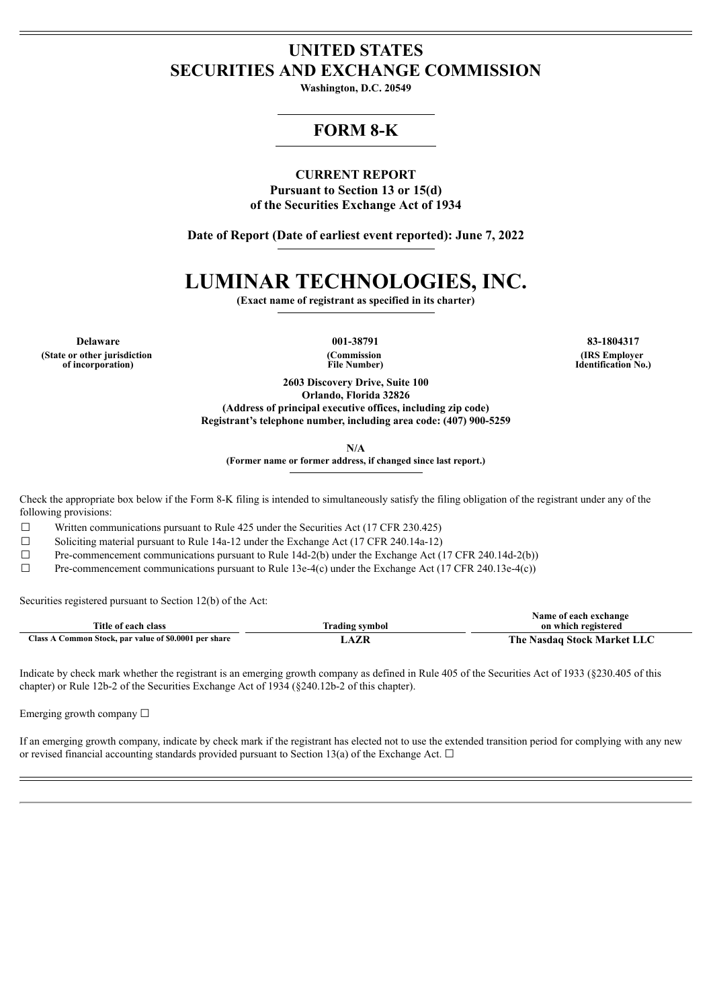# **UNITED STATES SECURITIES AND EXCHANGE COMMISSION**

**Washington, D.C. 20549**

# **FORM 8-K**

# **CURRENT REPORT**

**Pursuant to Section 13 or 15(d) of the Securities Exchange Act of 1934**

**Date of Report (Date of earliest event reported): June 7, 2022**

# **LUMINAR TECHNOLOGIES, INC.**

**(Exact name of registrant as specified in its charter)**

**Delaware 001-38791 83-1804317 (State or other jurisdiction of incorporation)**

**(Commission File Number)**

**(IRS Employer Identification No.)**

**2603 Discovery Drive, Suite 100 Orlando, Florida 32826 (Address of principal executive offices, including zip code)**

**Registrant's telephone number, including area code: (407) 900-5259**

**N/A**

**(Former name or former address, if changed since last report.)**

Check the appropriate box below if the Form 8-K filing is intended to simultaneously satisfy the filing obligation of the registrant under any of the following provisions:

 $\Box$  Written communications pursuant to Rule 425 under the Securities Act (17 CFR 230.425)

 $\Box$  Soliciting material pursuant to Rule 14a-12 under the Exchange Act (17 CFR 240.14a-12)

 $\Box$  Pre-commencement communications pursuant to Rule 14d-2(b) under the Exchange Act (17 CFR 240.14d-2(b))

 $\Box$  Pre-commencement communications pursuant to Rule 13e-4(c) under the Exchange Act (17 CFR 240.13e-4(c))

Securities registered pursuant to Section 12(b) of the Act:

|                                                       |                | Name of each exchange       |
|-------------------------------------------------------|----------------|-----------------------------|
| Title of each class                                   | Trading symbol | on which registered         |
| Class A Common Stock, par value of \$0.0001 per share | <b>AZF</b>     | The Nasdaq Stock Market LLC |

Indicate by check mark whether the registrant is an emerging growth company as defined in Rule 405 of the Securities Act of 1933 (§230.405 of this chapter) or Rule 12b-2 of the Securities Exchange Act of 1934 (§240.12b-2 of this chapter).

Emerging growth company □

If an emerging growth company, indicate by check mark if the registrant has elected not to use the extended transition period for complying with any new or revised financial accounting standards provided pursuant to Section 13(a) of the Exchange Act.  $\Box$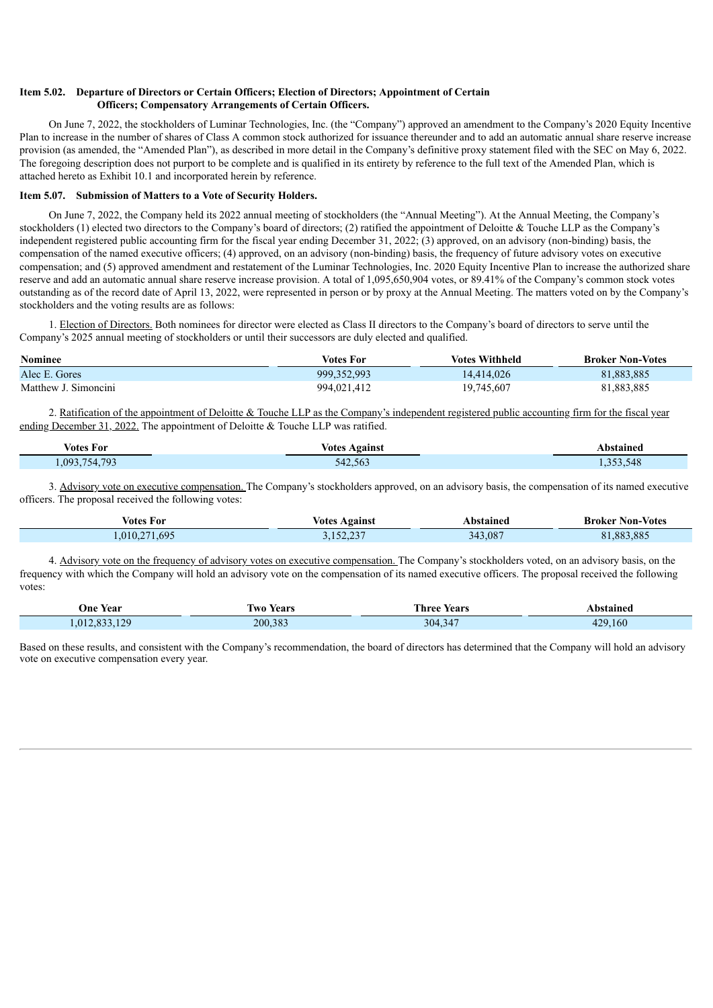#### **Item 5.02. Departure of Directors or Certain Officers; Election of Directors; Appointment of Certain Officers; Compensatory Arrangements of Certain Officers.**

On June 7, 2022, the stockholders of Luminar Technologies, Inc. (the "Company") approved an amendment to the Company's 2020 Equity Incentive Plan to increase in the number of shares of Class A common stock authorized for issuance thereunder and to add an automatic annual share reserve increase provision (as amended, the "Amended Plan"), as described in more detail in the Company's definitive proxy statement filed with the SEC on May 6, 2022. The foregoing description does not purport to be complete and is qualified in its entirety by reference to the full text of the Amended Plan, which is attached hereto as Exhibit 10.1 and incorporated herein by reference.

#### **Item 5.07. Submission of Matters to a Vote of Security Holders.**

On June 7, 2022, the Company held its 2022 annual meeting of stockholders (the "Annual Meeting"). At the Annual Meeting, the Company's stockholders (1) elected two directors to the Company's board of directors; (2) ratified the appointment of Deloitte & Touche LLP as the Company's independent registered public accounting firm for the fiscal year ending December 31, 2022; (3) approved, on an advisory (non-binding) basis, the compensation of the named executive officers; (4) approved, on an advisory (non-binding) basis, the frequency of future advisory votes on executive compensation; and (5) approved amendment and restatement of the Luminar Technologies, Inc. 2020 Equity Incentive Plan to increase the authorized share reserve and add an automatic annual share reserve increase provision. A total of 1,095,650,904 votes, or 89.41% of the Company's common stock votes outstanding as of the record date of April 13, 2022, were represented in person or by proxy at the Annual Meeting. The matters voted on by the Company's stockholders and the voting results are as follows:

1. Election of Directors. Both nominees for director were elected as Class II directors to the Company's board of directors to serve until the Company's 2025 annual meeting of stockholders or until their successors are duly elected and qualified.

| <b>Nominee</b>       | Votes For     | <b>Votes Withheld</b> | <b>Broker Non-Votes</b> |
|----------------------|---------------|-----------------------|-------------------------|
| Alec E. Gores        | 999, 352, 993 | 14.414.026            | 81,883,885              |
| Matthew J. Simoncini | 994,021,412   | 19,745,607            | 81,883,885              |

2. Ratification of the appointment of Deloitte & Touche LLP as the Company's independent registered public accounting firm for the fiscal year ending December 31, 2022. The appointment of Deloitte & Touche LLP was ratified.

| $ -$<br>Votes For | √otes<br>Against | bstained |
|-------------------|------------------|----------|
| 754 793<br>093    | 542.563          | .548     |

3. Advisory vote on executive compensation. The Company's stockholders approved, on an advisory basis, the compensation of its named executive officers. The proposal received the following votes:

| Votes For     | <b>Votes Against</b> | Abstained | <b>Broker Non-Votes</b> |
|---------------|----------------------|-----------|-------------------------|
| 1,010,271,695 | 3,152,237            | 343,087   | 81,883,885              |

4. Advisory vote on the frequency of advisory votes on executive compensation. The Company's stockholders voted, on an advisory basis, on the frequency with which the Company will hold an advisory vote on the compensation of its named executive officers. The proposal received the following votes:

| <b>Year</b><br>Jne<br>.             | <b>WO</b><br>Years | <b>Three</b><br>Years<br>. | <b>\bstained</b> |
|-------------------------------------|--------------------|----------------------------|------------------|
| $\sqrt{2}$<br>012<br>$\bigcap$<br>. | 200.383            | 304.3<br>YД                | 160<br>۱၁۵       |

Based on these results, and consistent with the Company's recommendation, the board of directors has determined that the Company will hold an advisory vote on executive compensation every year.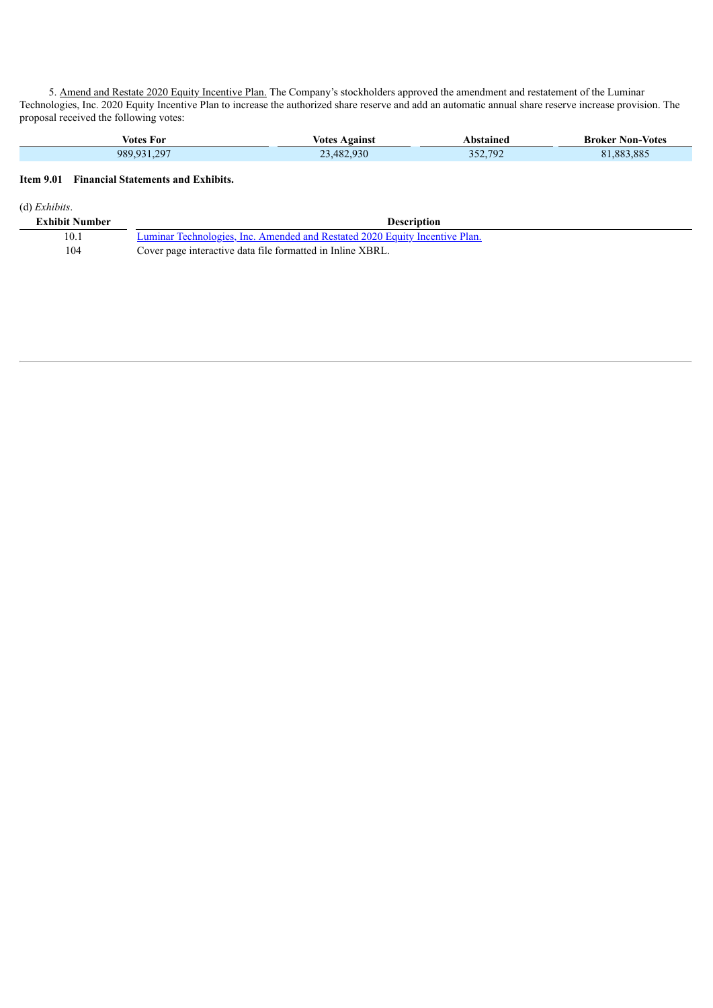5. Amend and Restate 2020 Equity Incentive Plan. The Company's stockholders approved the amendment and restatement of the Luminar Technologies, Inc. 2020 Equity Incentive Plan to increase the authorized share reserve and add an automatic annual share reserve increase provision. The proposal received the following votes:

| votes<br>-For | votes<br>Against | bstained | <b>Non-Votes</b><br>Broker |
|---------------|------------------|----------|----------------------------|
| 989 931 297   | 3.482.930        | 352,792  | 81.883.885                 |

# **Item 9.01 Financial Statements and Exhibits.**

(d) *Exhibits*.

| <b>Exhibit Number</b> | Description                                                                 |
|-----------------------|-----------------------------------------------------------------------------|
| 10.1                  | Luminar Technologies, Inc. Amended and Restated 2020 Equity Incentive Plan. |
| 104                   | Cover page interactive data file formatted in Inline XBRL.                  |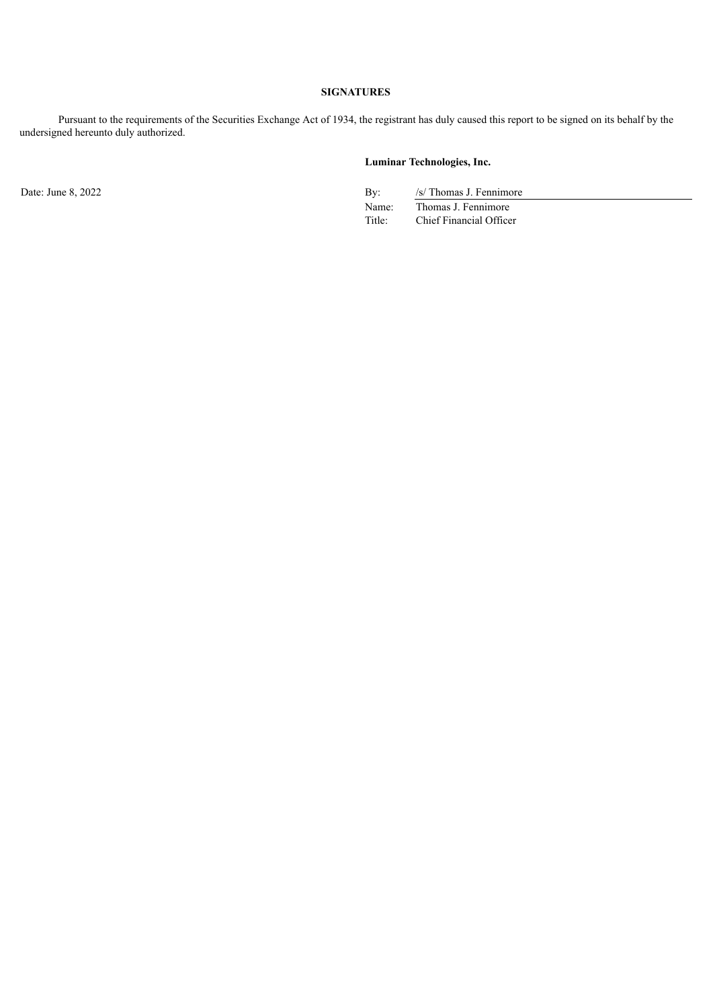# **SIGNATURES**

Pursuant to the requirements of the Securities Exchange Act of 1934, the registrant has duly caused this report to be signed on its behalf by the undersigned hereunto duly authorized.

# **Luminar Technologies, Inc.**

Date: June 8, 2022 By: /s/ Thomas J. Fennimore Name: Thomas J. Fennimore<br>Title: Chief Financial Office Chief Financial Officer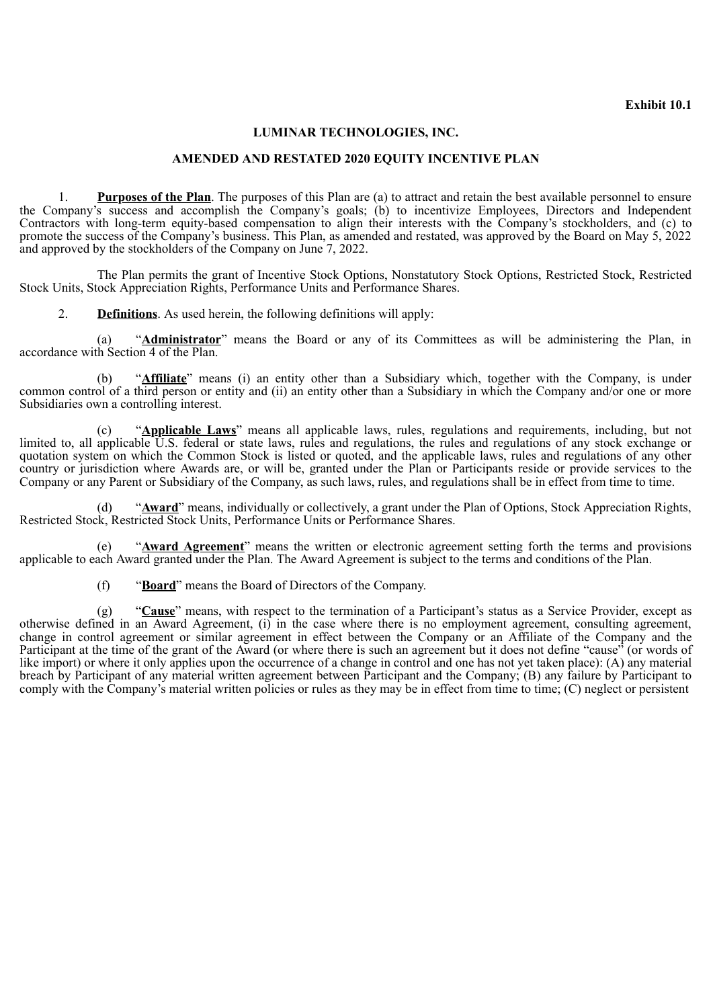# **Exhibit 10.1**

# **LUMINAR TECHNOLOGIES, INC.**

#### **AMENDED AND RESTATED 2020 EQUITY INCENTIVE PLAN**

<span id="page-4-0"></span>1. **Purposes of the Plan**. The purposes of this Plan are (a) to attract and retain the best available personnel to ensure the Company's success and accomplish the Company's goals; (b) to incentivize Employees, Directors and Independent Contractors with long-term equity-based compensation to align their interests with the Company's stockholders, and (c) to promote the success of the Company's business. This Plan, as amended and restated, was approved by the Board on May 5, 2022 and approved by the stockholders of the Company on June 7, 2022.

The Plan permits the grant of Incentive Stock Options, Nonstatutory Stock Options, Restricted Stock, Restricted Stock Units, Stock Appreciation Rights, Performance Units and Performance Shares.

2. **Definitions**. As used herein, the following definitions will apply:

(a) "**Administrator**" means the Board or any of its Committees as will be administering the Plan, in accordance with Section 4 of the Plan.

(b) "**Affiliate**" means (i) an entity other than a Subsidiary which, together with the Company, is under common control of a third person or entity and (ii) an entity other than a Subsidiary in which the Company and/or one or more Subsidiaries own a controlling interest.

(c) "**Applicable Laws**" means all applicable laws, rules, regulations and requirements, including, but not limited to, all applicable U.S. federal or state laws, rules and regulations, the rules and regulations of any stock exchange or quotation system on which the Common Stock is listed or quoted, and the applicable laws, rules and regulations of any other country or jurisdiction where Awards are, or will be, granted under the Plan or Participants reside or provide services to the Company or any Parent or Subsidiary of the Company, as such laws, rules, and regulations shall be in effect from time to time.

(d) "**Award**" means, individually or collectively, a grant under the Plan of Options, Stock Appreciation Rights, Restricted Stock, Restricted Stock Units, Performance Units or Performance Shares.

(e) "**Award Agreement**" means the written or electronic agreement setting forth the terms and provisions applicable to each Award granted under the Plan. The Award Agreement is subject to the terms and conditions of the Plan.

(f) "**Board**" means the Board of Directors of the Company.

(g) "**Cause**" means, with respect to the termination of a Participant's status as a Service Provider, except as otherwise defined in an Award Agreement, (i) in the case where there is no employment agreement, consulting agreement, change in control agreement or similar agreement in effect between the Company or an Affiliate of the Company and the Participant at the time of the grant of the Award (or where there is such an agreement but it does not define "cause" (or words of like import) or where it only applies upon the occurrence of a change in control and one has not yet taken place): (A) any material breach by Participant of any material written agreement between Participant and the Company; (B) any failure by Participant to comply with the Company's material written policies or rules as they may be in effect from time to time; (C) neglect or persistent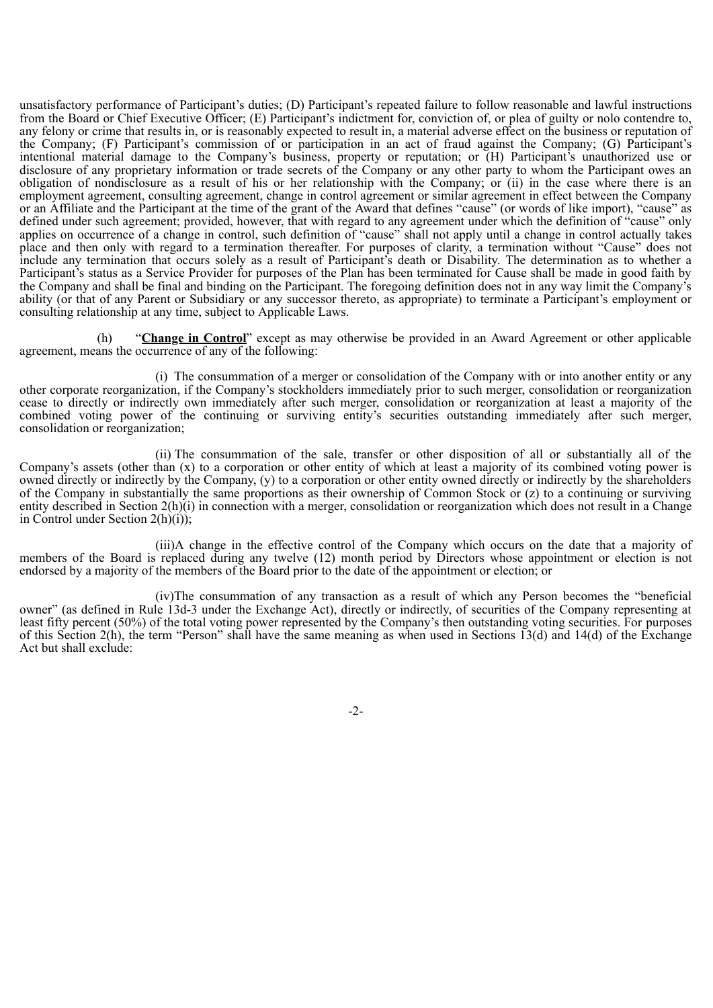unsatisfactory performance of Participant's duties; (D) Participant's repeated failure to follow reasonable and lawful instructions from the Board or Chief Executive Officer; (E) Participant's indictment for, conviction of, or plea of guilty or nolo contendre to, any felony or crime that results in, or is reasonably expected to result in, a material adverse effect on the business or reputation of the Company; (F) Participant's commission of or participation in an act of fraud against the Company; (G) Participant's intentional material damage to the Company's business, property or reputation; or (H) Participant's unauthorized use or disclosure of any proprietary information or trade secrets of the Company or any other party to whom the Participant owes an obligation of nondisclosure as a result of his or her relationship with the Company; or (ii) in the case where there is an employment agreement, consulting agreement, change in control agreement or similar agreement in effect between the Company or an Affiliate and the Participant at the time of the grant of the Award that defines "cause" (or words of like import), "cause" as defined under such agreement; provided, however, that with regard to any agreement under which the definition of "cause" only applies on occurrence of a change in control, such definition of "cause" shall not apply until a change in control actually takes place and then only with regard to a termination thereafter. For purposes of clarity, a termination without "Cause" does not include any termination that occurs solely as a result of Participant's death or Disability. The determination as to whether a Participant's status as a Service Provider for purposes of the Plan has been terminated for Cause shall be made in good faith by the Company and shall be final and binding on the Participant. The foregoing definition does not in any way limit the Company's ability (or that of any Parent or Subsidiary or any successor thereto, as appropriate) to terminate a Participant's employment or consulting relationship at any time, subject to Applicable Laws.

(h) "**Change in Control**" except as may otherwise be provided in an Award Agreement or other applicable agreement, means the occurrence of any of the following:

(i) The consummation of a merger or consolidation of the Company with or into another entity or any other corporate reorganization, if the Company's stockholders immediately prior to such merger, consolidation or reorganization cease to directly or indirectly own immediately after such merger, consolidation or reorganization at least a majority of the combined voting power of the continuing or surviving entity's securities outstanding immediately after such merger, consolidation or reorganization;

(ii) The consummation of the sale, transfer or other disposition of all or substantially all of the Company's assets (other than  $(x)$  to a corporation or other entity of which at least a majority of its combined voting power is owned directly or indirectly by the Company, (y) to a corporation or other entity owned directly or indirectly by the shareholders of the Company in substantially the same proportions as their ownership of Common Stock or (z) to a continuing or surviving entity described in Section 2(h)(i) in connection with a merger, consolidation or reorganization which does not result in a Change in Control under Section  $2(h)(i)$ ;

(iii)A change in the effective control of the Company which occurs on the date that a majority of members of the Board is replaced during any twelve (12) month period by Directors whose appointment or election is not endorsed by a majority of the members of the Board prior to the date of the appointment or election; or

(iv)The consummation of any transaction as a result of which any Person becomes the "beneficial owner" (as defined in Rule 13d-3 under the Exchange Act), directly or indirectly, of securities of the Company representing at least fifty percent (50%) of the total voting power represented by the Company's then outstanding voting securities. For purposes of this Section 2(h), the term "Person" shall have the same meaning as when used in Sections 13(d) and 14(d) of the Exchange Act but shall exclude:

-2-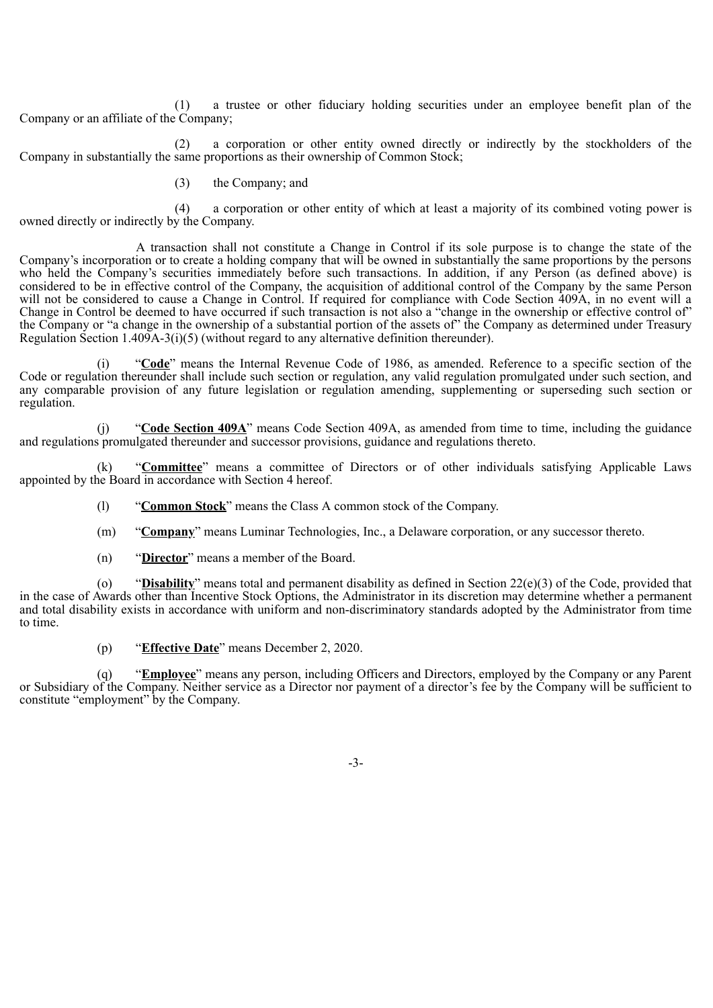(1) a trustee or other fiduciary holding securities under an employee benefit plan of the Company or an affiliate of the Company;

(2) a corporation or other entity owned directly or indirectly by the stockholders of the Company in substantially the same proportions as their ownership of Common Stock;

(3) the Company; and

(4) a corporation or other entity of which at least a majority of its combined voting power is owned directly or indirectly by the Company.

A transaction shall not constitute a Change in Control if its sole purpose is to change the state of the Company's incorporation or to create a holding company that will be owned in substantially the same proportions by the persons who held the Company's securities immediately before such transactions. In addition, if any Person (as defined above) is considered to be in effective control of the Company, the acquisition of additional control of the Company by the same Person will not be considered to cause a Change in Control. If required for compliance with Code Section 409A, in no event will a Change in Control be deemed to have occurred if such transaction is not also a "change in the ownership or effective control of" the Company or "a change in the ownership of a substantial portion of the assets of" the Company as determined under Treasury Regulation Section 1.409A-3(i)(5) (without regard to any alternative definition thereunder).

(i) "**Code**" means the Internal Revenue Code of 1986, as amended. Reference to a specific section of the Code or regulation thereunder shall include such section or regulation, any valid regulation promulgated under such section, and any comparable provision of any future legislation or regulation amending, supplementing or superseding such section or regulation.

(j) "**Code Section 409A**" means Code Section 409A, as amended from time to time, including the guidance and regulations promulgated thereunder and successor provisions, guidance and regulations thereto.

(k) "**Committee**" means a committee of Directors or of other individuals satisfying Applicable Laws appointed by the Board in accordance with Section 4 hereof.

(l) "**Common Stock**" means the Class A common stock of the Company.

(m) "**Company**" means Luminar Technologies, Inc., a Delaware corporation, or any successor thereto.

(n) "**Director**" means a member of the Board.

(o) "**Disability**" means total and permanent disability as defined in Section 22(e)(3) of the Code, provided that in the case of Awards other than Incentive Stock Options, the Administrator in its discretion may determine whether a permanent and total disability exists in accordance with uniform and non-discriminatory standards adopted by the Administrator from time to time.

(p) "**Effective Date**" means December 2, 2020.

(q) "**Employee**" means any person, including Officers and Directors, employed by the Company or any Parent or Subsidiary of the Company. Neither service as a Director nor payment of a director's fee by the Company will be sufficient to constitute "employment" by the Company.

-3-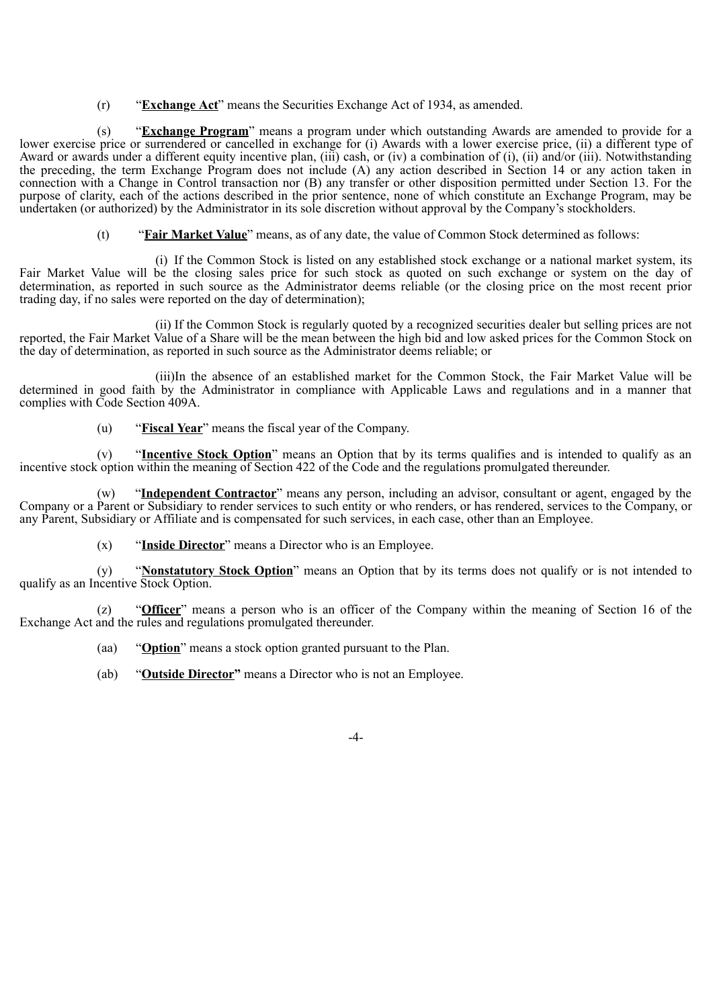(r) "**Exchange Act**" means the Securities Exchange Act of 1934, as amended.

(s) "**Exchange Program**" means a program under which outstanding Awards are amended to provide for a lower exercise price or surrendered or cancelled in exchange for (i) Awards with a lower exercise price, (ii) a different type of Award or awards under a different equity incentive plan, (iii) cash, or (iv) a combination of (i), (ii) and/or (iii). Notwithstanding the preceding, the term Exchange Program does not include (A) any action described in Section 14 or any action taken in connection with a Change in Control transaction nor (B) any transfer or other disposition permitted under Section 13. For the purpose of clarity, each of the actions described in the prior sentence, none of which constitute an Exchange Program, may be undertaken (or authorized) by the Administrator in its sole discretion without approval by the Company's stockholders.

(t) "**Fair Market Value**" means, as of any date, the value of Common Stock determined as follows:

(i) If the Common Stock is listed on any established stock exchange or a national market system, its Fair Market Value will be the closing sales price for such stock as quoted on such exchange or system on the day of determination, as reported in such source as the Administrator deems reliable (or the closing price on the most recent prior trading day, if no sales were reported on the day of determination);

(ii) If the Common Stock is regularly quoted by a recognized securities dealer but selling prices are not reported, the Fair Market Value of a Share will be the mean between the high bid and low asked prices for the Common Stock on the day of determination, as reported in such source as the Administrator deems reliable; or

(iii)In the absence of an established market for the Common Stock, the Fair Market Value will be determined in good faith by the Administrator in compliance with Applicable Laws and regulations and in a manner that complies with Code Section 409A.

(u) "**Fiscal Year**" means the fiscal year of the Company.

(v) "**Incentive Stock Option**" means an Option that by its terms qualifies and is intended to qualify as an incentive stock option within the meaning of Section 422 of the Code and the regulations promulgated thereunder.

(w) "**Independent Contractor**" means any person, including an advisor, consultant or agent, engaged by the Company or a Parent or Subsidiary to render services to such entity or who renders, or has rendered, services to the Company, or any Parent, Subsidiary or Affiliate and is compensated for such services, in each case, other than an Employee.

(x) "**Inside Director**" means a Director who is an Employee.

(y) "**Nonstatutory Stock Option**" means an Option that by its terms does not qualify or is not intended to qualify as an Incentive Stock Option.

(z) "**Officer**" means a person who is an officer of the Company within the meaning of Section 16 of the Exchange Act and the rules and regulations promulgated thereunder.

(aa) "**Option**" means a stock option granted pursuant to the Plan.

(ab) "**Outside Director"** means a Director who is not an Employee.

-4-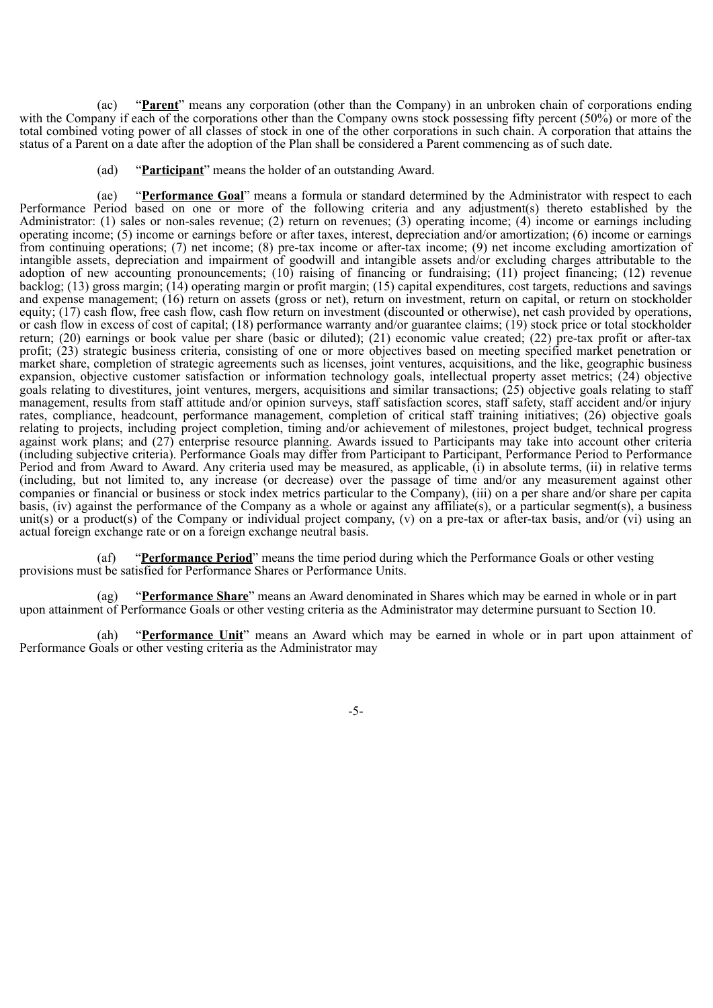(ac) "**Parent**" means any corporation (other than the Company) in an unbroken chain of corporations ending with the Company if each of the corporations other than the Company owns stock possessing fifty percent (50%) or more of the total combined voting power of all classes of stock in one of the other corporations in such chain. A corporation that attains the status of a Parent on a date after the adoption of the Plan shall be considered a Parent commencing as of such date.

(ad) "**Participant**" means the holder of an outstanding Award.

(ae) "**Performance Goal**" means a formula or standard determined by the Administrator with respect to each Performance Period based on one or more of the following criteria and any adjustment(s) thereto established by the Administrator: (1) sales or non-sales revenue; (2) return on revenues; (3) operating income; (4) income or earnings including operating income; (5) income or earnings before or after taxes, interest, depreciation and/or amortization; (6) income or earnings from continuing operations; (7) net income; (8) pre-tax income or after-tax income; (9) net income excluding amortization of intangible assets, depreciation and impairment of goodwill and intangible assets and/or excluding charges attributable to the adoption of new accounting pronouncements; (10) raising of financing or fundraising; (11) project financing; (12) revenue backlog; (13) gross margin; (14) operating margin or profit margin; (15) capital expenditures, cost targets, reductions and savings and expense management; (16) return on assets (gross or net), return on investment, return on capital, or return on stockholder equity; (17) cash flow, free cash flow, cash flow return on investment (discounted or otherwise), net cash provided by operations, or cash flow in excess of cost of capital; (18) performance warranty and/or guarantee claims; (19) stock price or total stockholder return; (20) earnings or book value per share (basic or diluted); (21) economic value created; (22) pre-tax profit or after-tax profit; (23) strategic business criteria, consisting of one or more objectives based on meeting specified market penetration or market share, completion of strategic agreements such as licenses, joint ventures, acquisitions, and the like, geographic business expansion, objective customer satisfaction or information technology goals, intellectual property asset metrics; (24) objective goals relating to divestitures, joint ventures, mergers, acquisitions and similar transactions; (25) objective goals relating to staff management, results from staff attitude and/or opinion surveys, staff satisfaction scores, staff safety, staff accident and/or injury rates, compliance, headcount, performance management, completion of critical staff training initiatives; (26) objective goals relating to projects, including project completion, timing and/or achievement of milestones, project budget, technical progress against work plans; and (27) enterprise resource planning. Awards issued to Participants may take into account other criteria (including subjective criteria). Performance Goals may differ from Participant to Participant, Performance Period to Performance Period and from Award to Award. Any criteria used may be measured, as applicable, (i) in absolute terms, (ii) in relative terms (including, but not limited to, any increase (or decrease) over the passage of time and/or any measurement against other companies or financial or business or stock index metrics particular to the Company), (iii) on a per share and/or share per capita basis, (iv) against the performance of the Company as a whole or against any affiliate(s), or a particular segment(s), a business unit(s) or a product(s) of the Company or individual project company, (v) on a pre-tax or after-tax basis, and/or (vi) using an actual foreign exchange rate or on a foreign exchange neutral basis.

(af) "**Performance Period**" means the time period during which the Performance Goals or other vesting provisions must be satisfied for Performance Shares or Performance Units.

(ag) "**Performance Share**" means an Award denominated in Shares which may be earned in whole or in part upon attainment of Performance Goals or other vesting criteria as the Administrator may determine pursuant to Section 10.

(ah) "**Performance Unit**" means an Award which may be earned in whole or in part upon attainment of Performance Goals or other vesting criteria as the Administrator may

-5-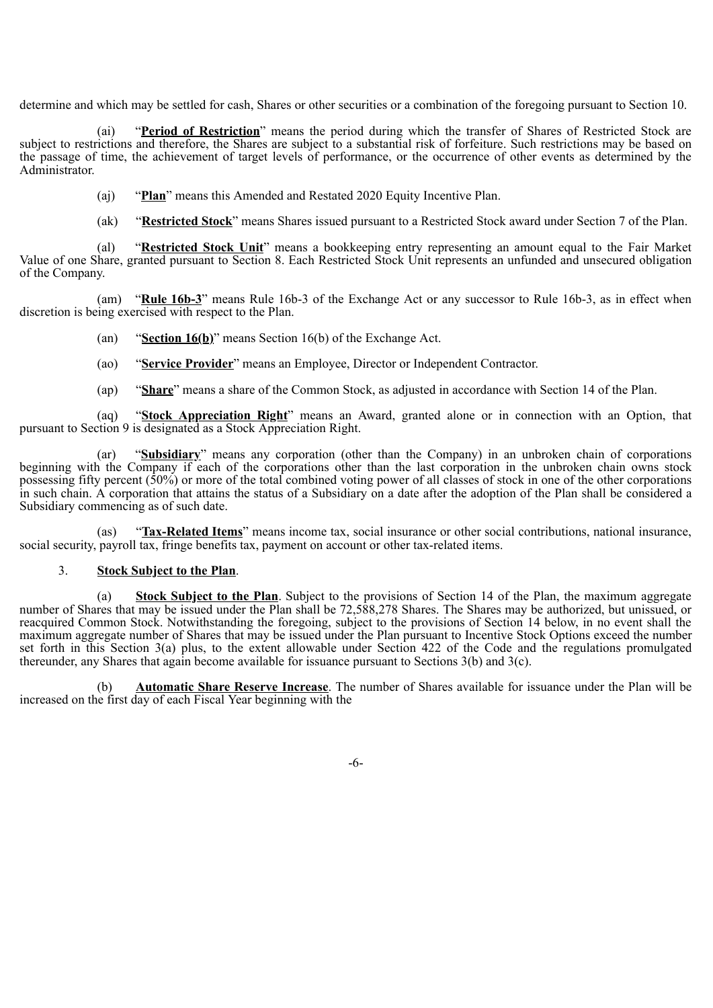determine and which may be settled for cash, Shares or other securities or a combination of the foregoing pursuant to Section 10.

(ai) "**Period of Restriction**" means the period during which the transfer of Shares of Restricted Stock are subject to restrictions and therefore, the Shares are subject to a substantial risk of forfeiture. Such restrictions may be based on the passage of time, the achievement of target levels of performance, or the occurrence of other events as determined by the Administrator.

(aj) "**Plan**" means this Amended and Restated 2020 Equity Incentive Plan.

(ak) "**Restricted Stock**" means Shares issued pursuant to a Restricted Stock award under Section 7 of the Plan.

(al) "**Restricted Stock Unit**" means a bookkeeping entry representing an amount equal to the Fair Market Value of one Share, granted pursuant to Section 8. Each Restricted Stock Unit represents an unfunded and unsecured obligation of the Company.

(am) "**Rule 16b-3**" means Rule 16b-3 of the Exchange Act or any successor to Rule 16b-3, as in effect when discretion is being exercised with respect to the Plan.

(an) "**Section 16(b)**" means Section 16(b) of the Exchange Act.

(ao) "**Service Provider**" means an Employee, Director or Independent Contractor.

(ap) "**Share**" means a share of the Common Stock, as adjusted in accordance with Section 14 of the Plan.

(aq) "**Stock Appreciation Right**" means an Award, granted alone or in connection with an Option, that pursuant to Section 9 is designated as a Stock Appreciation Right.

(ar) "**Subsidiary**" means any corporation (other than the Company) in an unbroken chain of corporations beginning with the Company if each of the corporations other than the last corporation in the unbroken chain owns stock possessing fifty percent  $(50\%)$  or more of the total combined voting power of all classes of stock in one of the other corporations in such chain. A corporation that attains the status of a Subsidiary on a date after the adoption of the Plan shall be considered a Subsidiary commencing as of such date.

(as) "**Tax-Related Items**" means income tax, social insurance or other social contributions, national insurance, social security, payroll tax, fringe benefits tax, payment on account or other tax-related items.

# 3. **Stock Subject to the Plan**.

(a) **Stock Subject to the Plan**. Subject to the provisions of Section 14 of the Plan, the maximum aggregate number of Shares that may be issued under the Plan shall be 72,588,278 Shares. The Shares may be authorized, but unissued, or reacquired Common Stock. Notwithstanding the foregoing, subject to the provisions of Section 14 below, in no event shall the maximum aggregate number of Shares that may be issued under the Plan pursuant to Incentive Stock Options exceed the number set forth in this Section 3(a) plus, to the extent allowable under Section 422 of the Code and the regulations promulgated thereunder, any Shares that again become available for issuance pursuant to Sections 3(b) and 3(c).

(b) **Automatic Share Reserve Increase**. The number of Shares available for issuance under the Plan will be increased on the first day of each Fiscal Year beginning with the

-6-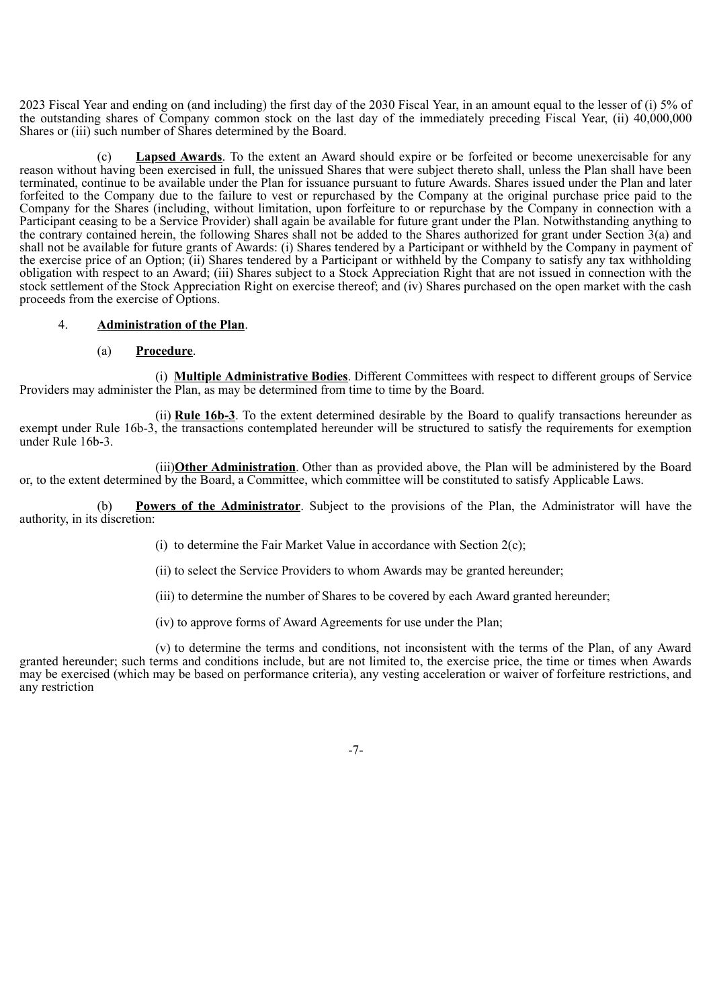2023 Fiscal Year and ending on (and including) the first day of the 2030 Fiscal Year, in an amount equal to the lesser of (i) 5% of the outstanding shares of Company common stock on the last day of the immediately preceding Fiscal Year, (ii) 40,000,000 Shares or (iii) such number of Shares determined by the Board.

**Lapsed Awards**. To the extent an Award should expire or be forfeited or become unexercisable for any reason without having been exercised in full, the unissued Shares that were subject thereto shall, unless the Plan shall have been terminated, continue to be available under the Plan for issuance pursuant to future Awards. Shares issued under the Plan and later forfeited to the Company due to the failure to vest or repurchased by the Company at the original purchase price paid to the Company for the Shares (including, without limitation, upon forfeiture to or repurchase by the Company in connection with a Participant ceasing to be a Service Provider) shall again be available for future grant under the Plan. Notwithstanding anything to the contrary contained herein, the following Shares shall not be added to the Shares authorized for grant under Section 3(a) and shall not be available for future grants of Awards: (i) Shares tendered by a Participant or withheld by the Company in payment of the exercise price of an Option; (ii) Shares tendered by a Participant or withheld by the Company to satisfy any tax withholding obligation with respect to an Award; (iii) Shares subject to a Stock Appreciation Right that are not issued in connection with the stock settlement of the Stock Appreciation Right on exercise thereof; and (iv) Shares purchased on the open market with the cash proceeds from the exercise of Options.

#### 4. **Administration of the Plan**.

#### (a) **Procedure**.

(i) **Multiple Administrative Bodies**. Different Committees with respect to different groups of Service Providers may administer the Plan, as may be determined from time to time by the Board.

(ii) **Rule 16b-3**. To the extent determined desirable by the Board to qualify transactions hereunder as exempt under Rule 16b-3, the transactions contemplated hereunder will be structured to satisfy the requirements for exemption under Rule 16b-3.

(iii)**Other Administration**. Other than as provided above, the Plan will be administered by the Board or, to the extent determined by the Board, a Committee, which committee will be constituted to satisfy Applicable Laws.

(b) **Powers of the Administrator**. Subject to the provisions of the Plan, the Administrator will have the authority, in its discretion:

(i) to determine the Fair Market Value in accordance with Section 2(c);

(ii) to select the Service Providers to whom Awards may be granted hereunder;

(iii) to determine the number of Shares to be covered by each Award granted hereunder;

(iv) to approve forms of Award Agreements for use under the Plan;

(v) to determine the terms and conditions, not inconsistent with the terms of the Plan, of any Award granted hereunder; such terms and conditions include, but are not limited to, the exercise price, the time or times when Awards may be exercised (which may be based on performance criteria), any vesting acceleration or waiver of forfeiture restrictions, and any restriction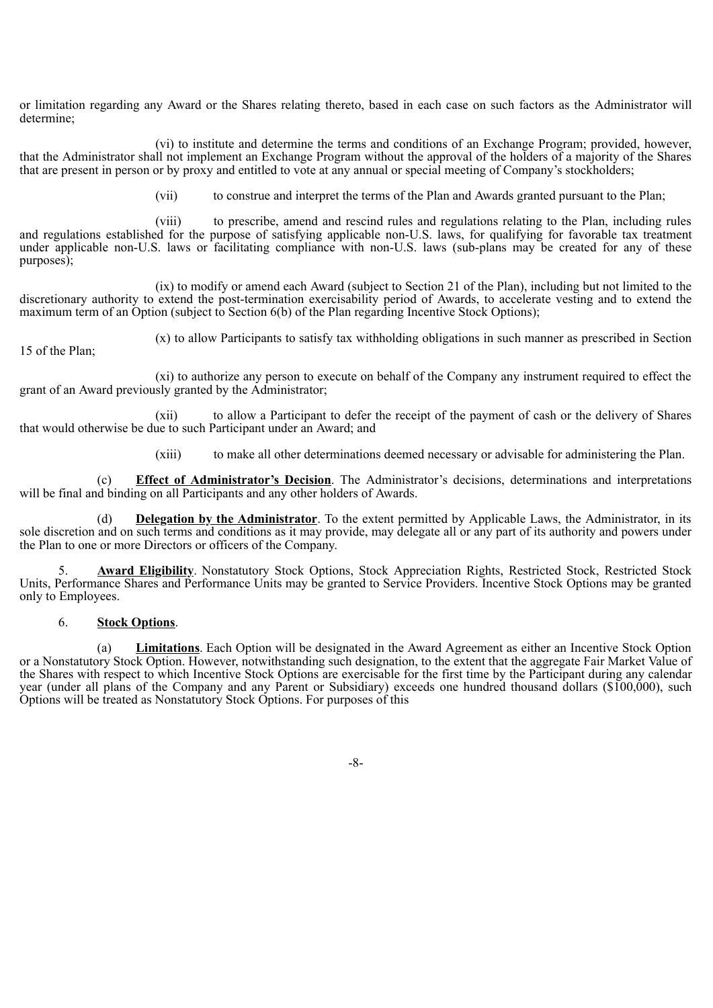or limitation regarding any Award or the Shares relating thereto, based in each case on such factors as the Administrator will determine;

(vi) to institute and determine the terms and conditions of an Exchange Program; provided, however, that the Administrator shall not implement an Exchange Program without the approval of the holders of a majority of the Shares that are present in person or by proxy and entitled to vote at any annual or special meeting of Company's stockholders;

(vii) to construe and interpret the terms of the Plan and Awards granted pursuant to the Plan;

(viii) to prescribe, amend and rescind rules and regulations relating to the Plan, including rules and regulations established for the purpose of satisfying applicable non-U.S. laws, for qualifying for favorable tax treatment under applicable non-U.S. laws or facilitating compliance with non-U.S. laws (sub-plans may be created for any of these purposes);

(ix) to modify or amend each Award (subject to Section 21 of the Plan), including but not limited to the discretionary authority to extend the post-termination exercisability period of Awards, to accelerate vesting and to extend the maximum term of an Option (subject to Section 6(b) of the Plan regarding Incentive Stock Options);

15 of the Plan;

(x) to allow Participants to satisfy tax withholding obligations in such manner as prescribed in Section

(xi) to authorize any person to execute on behalf of the Company any instrument required to effect the grant of an Award previously granted by the Administrator;

(xii) to allow a Participant to defer the receipt of the payment of cash or the delivery of Shares that would otherwise be due to such Participant under an Award; and

(xiii) to make all other determinations deemed necessary or advisable for administering the Plan.

(c) **Effect of Administrator's Decision**. The Administrator's decisions, determinations and interpretations will be final and binding on all Participants and any other holders of Awards.

(d) **Delegation by the Administrator**. To the extent permitted by Applicable Laws, the Administrator, in its sole discretion and on such terms and conditions as it may provide, may delegate all or any part of its authority and powers under the Plan to one or more Directors or officers of the Company.

5. **Award Eligibility**. Nonstatutory Stock Options, Stock Appreciation Rights, Restricted Stock, Restricted Stock Units, Performance Shares and Performance Units may be granted to Service Providers. Incentive Stock Options may be granted only to Employees.

# 6. **Stock Options**.

(a) **Limitations**. Each Option will be designated in the Award Agreement as either an Incentive Stock Option or a Nonstatutory Stock Option. However, notwithstanding such designation, to the extent that the aggregate Fair Market Value of the Shares with respect to which Incentive Stock Options are exercisable for the first time by the Participant during any calendar year (under all plans of the Company and any Parent or Subsidiary) exceeds one hundred thousand dollars (\$100,000), such Options will be treated as Nonstatutory Stock Options. For purposes of this

-8-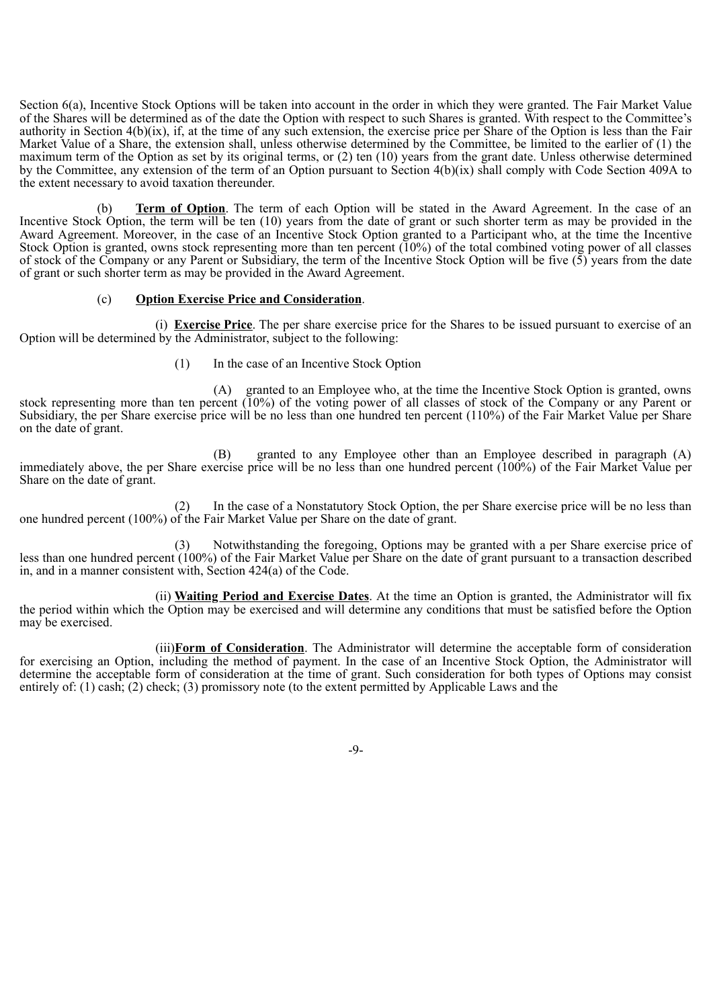Section 6(a), Incentive Stock Options will be taken into account in the order in which they were granted. The Fair Market Value of the Shares will be determined as of the date the Option with respect to such Shares is granted. With respect to the Committee's authority in Section 4(b)(ix), if, at the time of any such extension, the exercise price per Share of the Option is less than the Fair Market Value of a Share, the extension shall, unless otherwise determined by the Committee, be limited to the earlier of (1) the maximum term of the Option as set by its original terms, or (2) ten (10) years from the grant date. Unless otherwise determined by the Committee, any extension of the term of an Option pursuant to Section 4(b)(ix) shall comply with Code Section 409A to the extent necessary to avoid taxation thereunder.

(b) **Term of Option**. The term of each Option will be stated in the Award Agreement. In the case of an Incentive Stock Option, the term will be ten (10) years from the date of grant or such shorter term as may be provided in the Award Agreement. Moreover, in the case of an Incentive Stock Option granted to a Participant who, at the time the Incentive Stock Option is granted, owns stock representing more than ten percent  $(10%)$  of the total combined voting power of all classes of stock of the Company or any Parent or Subsidiary, the term of the Incentive Stock Option will be five  $(5)$  years from the date of grant or such shorter term as may be provided in the Award Agreement.

#### (c) **Option Exercise Price and Consideration**.

(i) **Exercise Price**. The per share exercise price for the Shares to be issued pursuant to exercise of an Option will be determined by the Administrator, subject to the following:

(1) In the case of an Incentive Stock Option

(A) granted to an Employee who, at the time the Incentive Stock Option is granted, owns stock representing more than ten percent (10%) of the voting power of all classes of stock of the Company or any Parent or Subsidiary, the per Share exercise price will be no less than one hundred ten percent (110%) of the Fair Market Value per Share on the date of grant.

(B) granted to any Employee other than an Employee described in paragraph (A) immediately above, the per Share exercise price will be no less than one hundred percent (100%) of the Fair Market Value per Share on the date of grant.

(2) In the case of a Nonstatutory Stock Option, the per Share exercise price will be no less than one hundred percent (100%) of the Fair Market Value per Share on the date of grant.

(3) Notwithstanding the foregoing, Options may be granted with a per Share exercise price of less than one hundred percent (100%) of the Fair Market Value per Share on the date of grant pursuant to a transaction described in, and in a manner consistent with, Section 424(a) of the Code.

(ii) **Waiting Period and Exercise Dates**. At the time an Option is granted, the Administrator will fix the period within which the Option may be exercised and will determine any conditions that must be satisfied before the Option may be exercised.

(iii)**Form of Consideration**. The Administrator will determine the acceptable form of consideration for exercising an Option, including the method of payment. In the case of an Incentive Stock Option, the Administrator will determine the acceptable form of consideration at the time of grant. Such consideration for both types of Options may consist entirely of: (1) cash; (2) check; (3) promissory note (to the extent permitted by Applicable Laws and the

-9-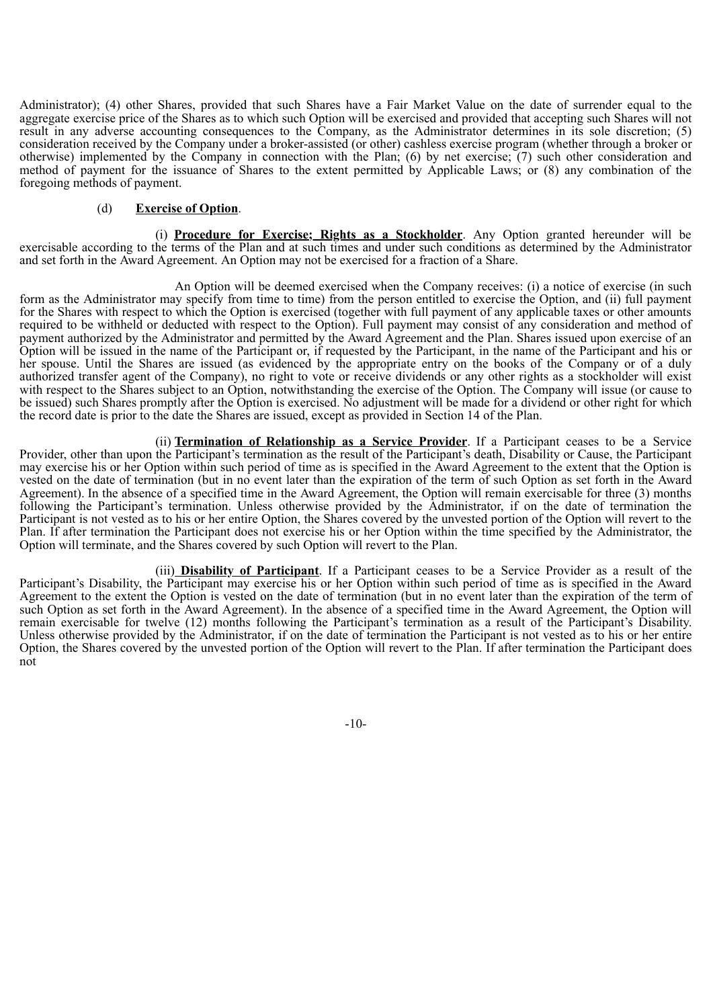Administrator); (4) other Shares, provided that such Shares have a Fair Market Value on the date of surrender equal to the aggregate exercise price of the Shares as to which such Option will be exercised and provided that accepting such Shares will not result in any adverse accounting consequences to the Company, as the Administrator determines in its sole discretion; (5) consideration received by the Company under a broker-assisted (or other) cashless exercise program (whether through a broker or otherwise) implemented by the Company in connection with the Plan; (6) by net exercise; (7) such other consideration and method of payment for the issuance of Shares to the extent permitted by Applicable Laws; or (8) any combination of the foregoing methods of payment.

# (d) **Exercise of Option**.

(i) **Procedure for Exercise; Rights as a Stockholder**. Any Option granted hereunder will be exercisable according to the terms of the Plan and at such times and under such conditions as determined by the Administrator and set forth in the Award Agreement. An Option may not be exercised for a fraction of a Share.

An Option will be deemed exercised when the Company receives: (i) a notice of exercise (in such form as the Administrator may specify from time to time) from the person entitled to exercise the Option, and (ii) full payment for the Shares with respect to which the Option is exercised (together with full payment of any applicable taxes or other amounts required to be withheld or deducted with respect to the Option). Full payment may consist of any consideration and method of payment authorized by the Administrator and permitted by the Award Agreement and the Plan. Shares issued upon exercise of an Option will be issued in the name of the Participant or, if requested by the Participant, in the name of the Participant and his or her spouse. Until the Shares are issued (as evidenced by the appropriate entry on the books of the Company or of a duly authorized transfer agent of the Company), no right to vote or receive dividends or any other rights as a stockholder will exist with respect to the Shares subject to an Option, notwithstanding the exercise of the Option. The Company will issue (or cause to be issued) such Shares promptly after the Option is exercised. No adjustment will be made for a dividend or other right for which the record date is prior to the date the Shares are issued, except as provided in Section 14 of the Plan.

(ii) **Termination of Relationship as a Service Provider**. If a Participant ceases to be a Service Provider, other than upon the Participant's termination as the result of the Participant's death, Disability or Cause, the Participant may exercise his or her Option within such period of time as is specified in the Award Agreement to the extent that the Option is vested on the date of termination (but in no event later than the expiration of the term of such Option as set forth in the Award Agreement). In the absence of a specified time in the Award Agreement, the Option will remain exercisable for three (3) months following the Participant's termination. Unless otherwise provided by the Administrator, if on the date of termination the Participant is not vested as to his or her entire Option, the Shares covered by the unvested portion of the Option will revert to the Plan. If after termination the Participant does not exercise his or her Option within the time specified by the Administrator, the Option will terminate, and the Shares covered by such Option will revert to the Plan.

(iii) **Disability of Participant**. If a Participant ceases to be a Service Provider as a result of the Participant's Disability, the Participant may exercise his or her Option within such period of time as is specified in the Award Agreement to the extent the Option is vested on the date of termination (but in no event later than the expiration of the term of such Option as set forth in the Award Agreement). In the absence of a specified time in the Award Agreement, the Option will remain exercisable for twelve (12) months following the Participant's termination as a result of the Participant's Disability. Unless otherwise provided by the Administrator, if on the date of termination the Participant is not vested as to his or her entire Option, the Shares covered by the unvested portion of the Option will revert to the Plan. If after termination the Participant does not

-10-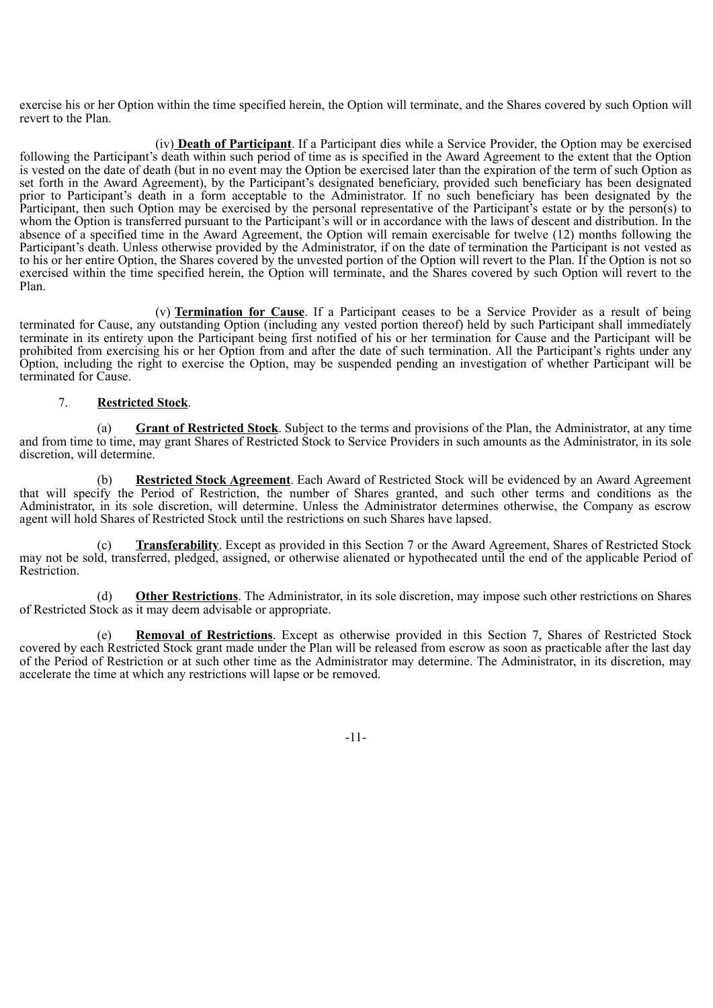exercise his or her Option within the time specified herein, the Option will terminate, and the Shares covered by such Option will revert to the Plan.

(iv) **Death of Participant**. If a Participant dies while a Service Provider, the Option may be exercised following the Participant's death within such period of time as is specified in the Award Agreement to the extent that the Option is vested on the date of death (but in no event may the Option be exercised later than the expiration of the term of such Option as set forth in the Award Agreement), by the Participant's designated beneficiary, provided such beneficiary has been designated prior to Participant's death in a form acceptable to the Administrator. If no such beneficiary has been designated by the Participant, then such Option may be exercised by the personal representative of the Participant's estate or by the person(s) to whom the Option is transferred pursuant to the Participant's will or in accordance with the laws of descent and distribution. In the absence of a specified time in the Award Agreement, the Option will remain exercisable for twelve (12) months following the Participant's death. Unless otherwise provided by the Administrator, if on the date of termination the Participant is not vested as to his or her entire Option, the Shares covered by the unvested portion of the Option will revert to the Plan. If the Option is not so exercised within the time specified herein, the Option will terminate, and the Shares covered by such Option will revert to the Plan.

(v) **Termination for Cause**. If a Participant ceases to be a Service Provider as a result of being terminated for Cause, any outstanding Option (including any vested portion thereof) held by such Participant shall immediately terminate in its entirety upon the Participant being first notified of his or her termination for Cause and the Participant will be prohibited from exercising his or her Option from and after the date of such termination. All the Participant's rights under any Option, including the right to exercise the Option, may be suspended pending an investigation of whether Participant will be terminated for Cause.

# 7. **Restricted Stock**.

(a) **Grant of Restricted Stock**. Subject to the terms and provisions of the Plan, the Administrator, at any time and from time to time, may grant Shares of Restricted Stock to Service Providers in such amounts as the Administrator, in its sole discretion, will determine.

(b) **Restricted Stock Agreement**. Each Award of Restricted Stock will be evidenced by an Award Agreement that will specify the Period of Restriction, the number of Shares granted, and such other terms and conditions as the Administrator, in its sole discretion, will determine. Unless the Administrator determines otherwise, the Company as escrow agent will hold Shares of Restricted Stock until the restrictions on such Shares have lapsed.

(c) **Transferability**. Except as provided in this Section 7 or the Award Agreement, Shares of Restricted Stock may not be sold, transferred, pledged, assigned, or otherwise alienated or hypothecated until the end of the applicable Period of Restriction.

(d) **Other Restrictions**. The Administrator, in its sole discretion, may impose such other restrictions on Shares of Restricted Stock as it may deem advisable or appropriate.

(e) **Removal of Restrictions**. Except as otherwise provided in this Section 7, Shares of Restricted Stock covered by each Restricted Stock grant made under the Plan will be released from escrow as soon as practicable after the last day of the Period of Restriction or at such other time as the Administrator may determine. The Administrator, in its discretion, may accelerate the time at which any restrictions will lapse or be removed.

-11-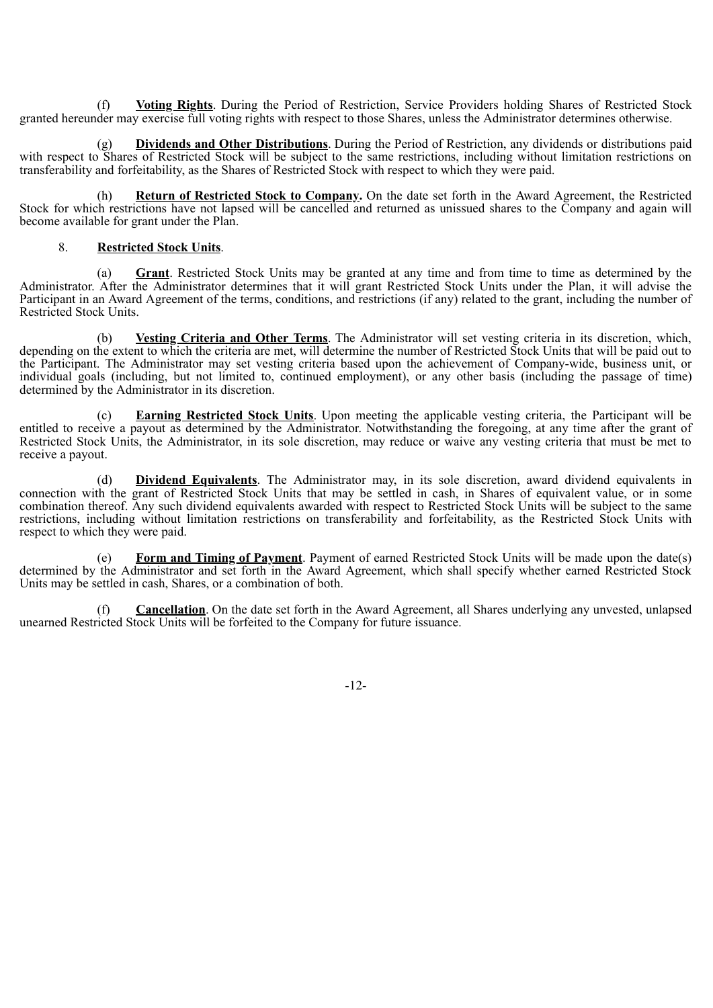(f) **Voting Rights**. During the Period of Restriction, Service Providers holding Shares of Restricted Stock granted hereunder may exercise full voting rights with respect to those Shares, unless the Administrator determines otherwise.

(g) **Dividends and Other Distributions**. During the Period of Restriction, any dividends or distributions paid with respect to Shares of Restricted Stock will be subject to the same restrictions, including without limitation restrictions on transferability and forfeitability, as the Shares of Restricted Stock with respect to which they were paid.

(h) **Return of Restricted Stock to Company.** On the date set forth in the Award Agreement, the Restricted Stock for which restrictions have not lapsed will be cancelled and returned as unissued shares to the Company and again will become available for grant under the Plan.

#### 8. **Restricted Stock Units**.

(a) **Grant**. Restricted Stock Units may be granted at any time and from time to time as determined by the Administrator. After the Administrator determines that it will grant Restricted Stock Units under the Plan, it will advise the Participant in an Award Agreement of the terms, conditions, and restrictions (if any) related to the grant, including the number of Restricted Stock Units.

(b) **Vesting Criteria and Other Terms**. The Administrator will set vesting criteria in its discretion, which, depending on the extent to which the criteria are met, will determine the number of Restricted Stock Units that will be paid out to the Participant. The Administrator may set vesting criteria based upon the achievement of Company-wide, business unit, or individual goals (including, but not limited to, continued employment), or any other basis (including the passage of time) determined by the Administrator in its discretion.

(c) **Earning Restricted Stock Units**. Upon meeting the applicable vesting criteria, the Participant will be entitled to receive a payout as determined by the Administrator. Notwithstanding the foregoing, at any time after the grant of Restricted Stock Units, the Administrator, in its sole discretion, may reduce or waive any vesting criteria that must be met to receive a payout.

(d) **Dividend Equivalents**. The Administrator may, in its sole discretion, award dividend equivalents in connection with the grant of Restricted Stock Units that may be settled in cash, in Shares of equivalent value, or in some combination thereof. Any such dividend equivalents awarded with respect to Restricted Stock Units will be subject to the same restrictions, including without limitation restrictions on transferability and forfeitability, as the Restricted Stock Units with respect to which they were paid.

(e) **Form and Timing of Payment**. Payment of earned Restricted Stock Units will be made upon the date(s) determined by the Administrator and set forth in the Award Agreement, which shall specify whether earned Restricted Stock Units may be settled in cash, Shares, or a combination of both.

(f) **Cancellation**. On the date set forth in the Award Agreement, all Shares underlying any unvested, unlapsed unearned Restricted Stock Units will be forfeited to the Company for future issuance.

-12-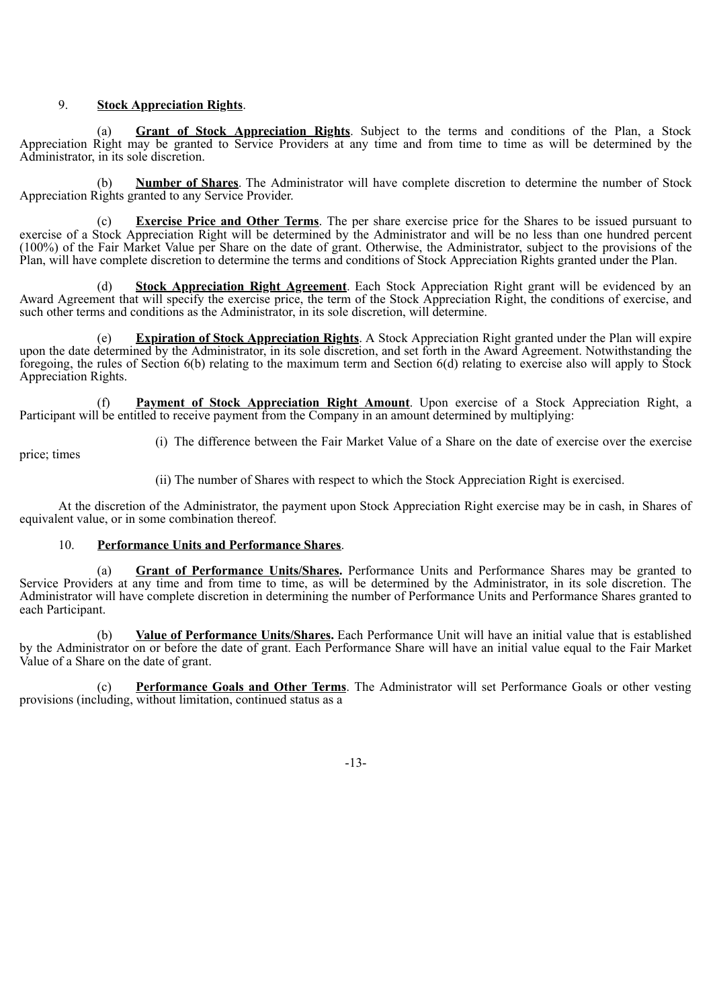# 9. **Stock Appreciation Rights**.

(a) **Grant of Stock Appreciation Rights**. Subject to the terms and conditions of the Plan, a Stock Appreciation Right may be granted to Service Providers at any time and from time to time as will be determined by the Administrator, in its sole discretion.

(b) **Number of Shares**. The Administrator will have complete discretion to determine the number of Stock Appreciation Rights granted to any Service Provider.

(c) **Exercise Price and Other Terms**. The per share exercise price for the Shares to be issued pursuant to exercise of a Stock Appreciation Right will be determined by the Administrator and will be no less than one hundred percent (100%) of the Fair Market Value per Share on the date of grant. Otherwise, the Administrator, subject to the provisions of the Plan, will have complete discretion to determine the terms and conditions of Stock Appreciation Rights granted under the Plan.

(d) **Stock Appreciation Right Agreement**. Each Stock Appreciation Right grant will be evidenced by an Award Agreement that will specify the exercise price, the term of the Stock Appreciation Right, the conditions of exercise, and such other terms and conditions as the Administrator, in its sole discretion, will determine.

(e) **Expiration of Stock Appreciation Rights**. A Stock Appreciation Right granted under the Plan will expire upon the date determined by the Administrator, in its sole discretion, and set forth in the Award Agreement. Notwithstanding the foregoing, the rules of Section 6(b) relating to the maximum term and Section 6(d) relating to exercise also will apply to Stock Appreciation Rights.

**Payment of Stock Appreciation Right Amount**. Upon exercise of a Stock Appreciation Right, a Participant will be entitled to receive payment from the Company in an amount determined by multiplying:

price; times

(i) The difference between the Fair Market Value of a Share on the date of exercise over the exercise

(ii) The number of Shares with respect to which the Stock Appreciation Right is exercised.

At the discretion of the Administrator, the payment upon Stock Appreciation Right exercise may be in cash, in Shares of equivalent value, or in some combination thereof.

# 10. **Performance Units and Performance Shares**.

(a) **Grant of Performance Units/Shares.** Performance Units and Performance Shares may be granted to Service Providers at any time and from time to time, as will be determined by the Administrator, in its sole discretion. The Administrator will have complete discretion in determining the number of Performance Units and Performance Shares granted to each Participant.

(b) **Value of Performance Units/Shares.** Each Performance Unit will have an initial value that is established by the Administrator on or before the date of grant. Each Performance Share will have an initial value equal to the Fair Market Value of a Share on the date of grant.

(c) **Performance Goals and Other Terms**. The Administrator will set Performance Goals or other vesting provisions (including, without limitation, continued status as a

-13-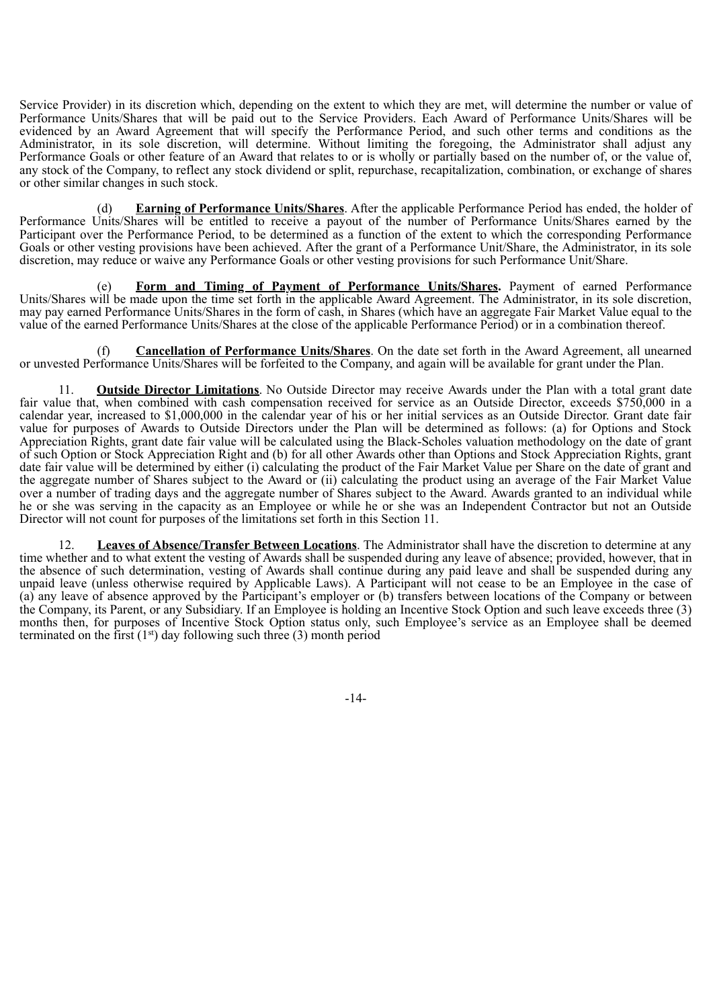Service Provider) in its discretion which, depending on the extent to which they are met, will determine the number or value of Performance Units/Shares that will be paid out to the Service Providers. Each Award of Performance Units/Shares will be evidenced by an Award Agreement that will specify the Performance Period, and such other terms and conditions as the Administrator, in its sole discretion, will determine. Without limiting the foregoing, the Administrator shall adjust any Performance Goals or other feature of an Award that relates to or is wholly or partially based on the number of, or the value of, any stock of the Company, to reflect any stock dividend or split, repurchase, recapitalization, combination, or exchange of shares or other similar changes in such stock.

(d) **Earning of Performance Units/Shares**. After the applicable Performance Period has ended, the holder of Performance Units/Shares will be entitled to receive a payout of the number of Performance Units/Shares earned by the Participant over the Performance Period, to be determined as a function of the extent to which the corresponding Performance Goals or other vesting provisions have been achieved. After the grant of a Performance Unit/Share, the Administrator, in its sole discretion, may reduce or waive any Performance Goals or other vesting provisions for such Performance Unit/Share.

**Form and Timing of Payment of Performance Units/Shares.** Payment of earned Performance Units/Shares will be made upon the time set forth in the applicable Award Agreement. The Administrator, in its sole discretion, may pay earned Performance Units/Shares in the form of cash, in Shares (which have an aggregate Fair Market Value equal to the value of the earned Performance Units/Shares at the close of the applicable Performance Period) or in a combination thereof.

(f) **Cancellation of Performance Units/Shares**. On the date set forth in the Award Agreement, all unearned or unvested Performance Units/Shares will be forfeited to the Company, and again will be available for grant under the Plan.

11. **Outside Director Limitations**. No Outside Director may receive Awards under the Plan with a total grant date fair value that, when combined with cash compensation received for service as an Outside Director, exceeds \$750,000 in a calendar year, increased to \$1,000,000 in the calendar year of his or her initial services as an Outside Director. Grant date fair value for purposes of Awards to Outside Directors under the Plan will be determined as follows: (a) for Options and Stock Appreciation Rights, grant date fair value will be calculated using the Black-Scholes valuation methodology on the date of grant of such Option or Stock Appreciation Right and (b) for all other Awards other than Options and Stock Appreciation Rights, grant date fair value will be determined by either (i) calculating the product of the Fair Market Value per Share on the date of grant and the aggregate number of Shares subject to the Award or (ii) calculating the product using an average of the Fair Market Value over a number of trading days and the aggregate number of Shares subject to the Award. Awards granted to an individual while he or she was serving in the capacity as an Employee or while he or she was an Independent Contractor but not an Outside Director will not count for purposes of the limitations set forth in this Section 11.

12. **Leaves of Absence/Transfer Between Locations**. The Administrator shall have the discretion to determine at any time whether and to what extent the vesting of Awards shall be suspended during any leave of absence; provided, however, that in the absence of such determination, vesting of Awards shall continue during any paid leave and shall be suspended during any unpaid leave (unless otherwise required by Applicable Laws). A Participant will not cease to be an Employee in the case of (a) any leave of absence approved by the Participant's employer or (b) transfers between locations of the Company or between the Company, its Parent, or any Subsidiary. If an Employee is holding an Incentive Stock Option and such leave exceeds three (3) months then, for purposes of Incentive Stock Option status only, such Employee's service as an Employee shall be deemed terminated on the first  $(1<sup>st</sup>)$  day following such three (3) month period

-14-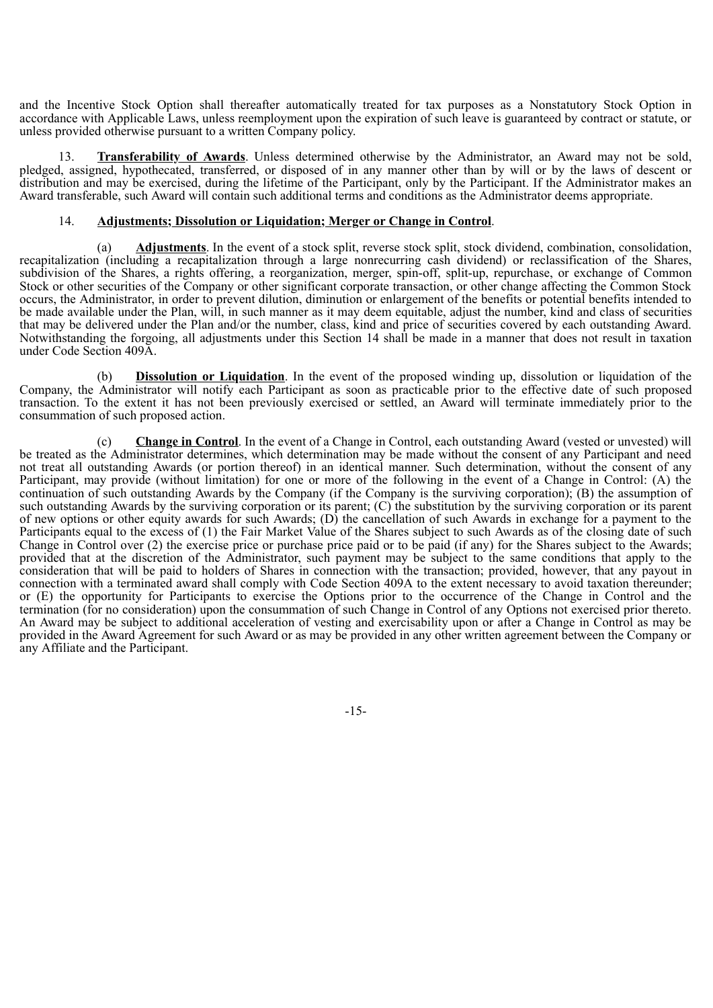and the Incentive Stock Option shall thereafter automatically treated for tax purposes as a Nonstatutory Stock Option in accordance with Applicable Laws, unless reemployment upon the expiration of such leave is guaranteed by contract or statute, or unless provided otherwise pursuant to a written Company policy.

13. **Transferability of Awards**. Unless determined otherwise by the Administrator, an Award may not be sold, pledged, assigned, hypothecated, transferred, or disposed of in any manner other than by will or by the laws of descent or distribution and may be exercised, during the lifetime of the Participant, only by the Participant. If the Administrator makes an Award transferable, such Award will contain such additional terms and conditions as the Administrator deems appropriate.

#### 14. **Adjustments; Dissolution or Liquidation; Merger or Change in Control**.

(a) **Adjustments**. In the event of a stock split, reverse stock split, stock dividend, combination, consolidation, recapitalization (including a recapitalization through a large nonrecurring cash dividend) or reclassification of the Shares, subdivision of the Shares, a rights offering, a reorganization, merger, spin-off, split-up, repurchase, or exchange of Common Stock or other securities of the Company or other significant corporate transaction, or other change affecting the Common Stock occurs, the Administrator, in order to prevent dilution, diminution or enlargement of the benefits or potential benefits intended to be made available under the Plan, will, in such manner as it may deem equitable, adjust the number, kind and class of securities that may be delivered under the Plan and/or the number, class, kind and price of securities covered by each outstanding Award. Notwithstanding the forgoing, all adjustments under this Section 14 shall be made in a manner that does not result in taxation under Code Section 409A.

(b) **Dissolution or Liquidation**. In the event of the proposed winding up, dissolution or liquidation of the Company, the Administrator will notify each Participant as soon as practicable prior to the effective date of such proposed transaction. To the extent it has not been previously exercised or settled, an Award will terminate immediately prior to the consummation of such proposed action.

(c) **Change in Control**. In the event of a Change in Control, each outstanding Award (vested or unvested) will be treated as the Administrator determines, which determination may be made without the consent of any Participant and need not treat all outstanding Awards (or portion thereof) in an identical manner. Such determination, without the consent of any Participant, may provide (without limitation) for one or more of the following in the event of a Change in Control: (A) the continuation of such outstanding Awards by the Company (if the Company is the surviving corporation); (B) the assumption of such outstanding Awards by the surviving corporation or its parent; (C) the substitution by the surviving corporation or its parent of new options or other equity awards for such Awards; (D) the cancellation of such Awards in exchange for a payment to the Participants equal to the excess of (1) the Fair Market Value of the Shares subject to such Awards as of the closing date of such Change in Control over (2) the exercise price or purchase price paid or to be paid (if any) for the Shares subject to the Awards; provided that at the discretion of the Administrator, such payment may be subject to the same conditions that apply to the consideration that will be paid to holders of Shares in connection with the transaction; provided, however, that any payout in connection with a terminated award shall comply with Code Section 409A to the extent necessary to avoid taxation thereunder; or (E) the opportunity for Participants to exercise the Options prior to the occurrence of the Change in Control and the termination (for no consideration) upon the consummation of such Change in Control of any Options not exercised prior thereto. An Award may be subject to additional acceleration of vesting and exercisability upon or after a Change in Control as may be provided in the Award Agreement for such Award or as may be provided in any other written agreement between the Company or any Affiliate and the Participant.

-15-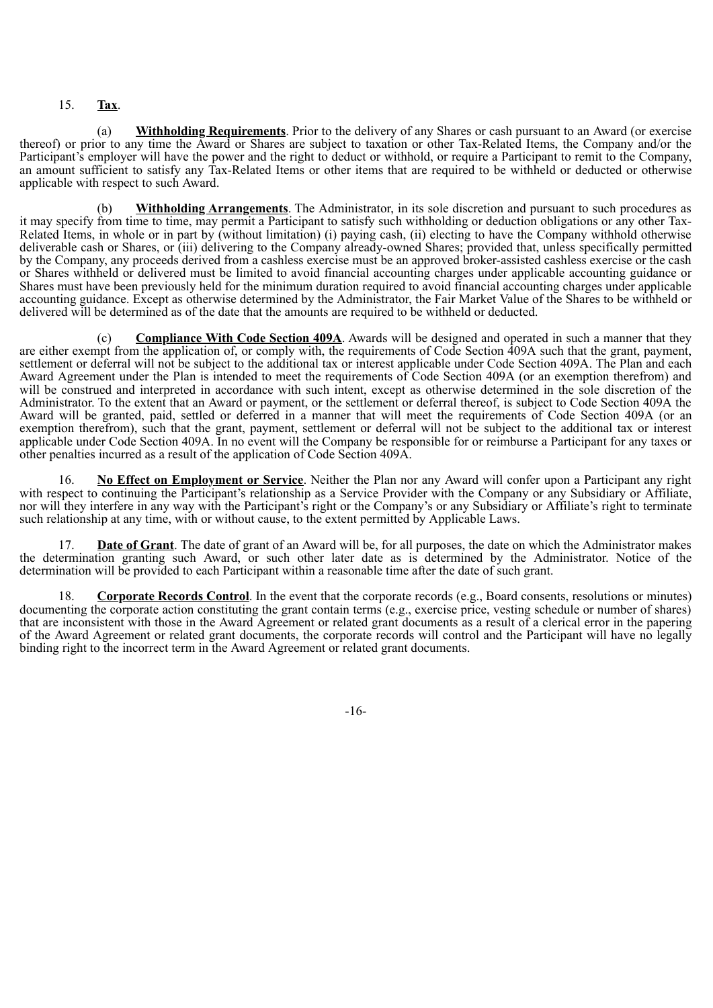# 15. **Tax**.

(a) **Withholding Requirements**. Prior to the delivery of any Shares or cash pursuant to an Award (or exercise thereof) or prior to any time the Award or Shares are subject to taxation or other Tax-Related Items, the Company and/or the Participant's employer will have the power and the right to deduct or withhold, or require a Participant to remit to the Company, an amount sufficient to satisfy any Tax-Related Items or other items that are required to be withheld or deducted or otherwise applicable with respect to such Award.

(b) **Withholding Arrangements**. The Administrator, in its sole discretion and pursuant to such procedures as it may specify from time to time, may permit a Participant to satisfy such withholding or deduction obligations or any other Tax-Related Items, in whole or in part by (without limitation) (i) paying cash, (ii) electing to have the Company withhold otherwise deliverable cash or Shares, or (iii) delivering to the Company already-owned Shares; provided that, unless specifically permitted by the Company, any proceeds derived from a cashless exercise must be an approved broker-assisted cashless exercise or the cash or Shares withheld or delivered must be limited to avoid financial accounting charges under applicable accounting guidance or Shares must have been previously held for the minimum duration required to avoid financial accounting charges under applicable accounting guidance. Except as otherwise determined by the Administrator, the Fair Market Value of the Shares to be withheld or delivered will be determined as of the date that the amounts are required to be withheld or deducted.

(c) **Compliance With Code Section 409A**. Awards will be designed and operated in such a manner that they are either exempt from the application of, or comply with, the requirements of Code Section 409A such that the grant, payment, settlement or deferral will not be subject to the additional tax or interest applicable under Code Section 409A. The Plan and each Award Agreement under the Plan is intended to meet the requirements of Code Section 409A (or an exemption therefrom) and will be construed and interpreted in accordance with such intent, except as otherwise determined in the sole discretion of the Administrator. To the extent that an Award or payment, or the settlement or deferral thereof, is subject to Code Section 409A the Award will be granted, paid, settled or deferred in a manner that will meet the requirements of Code Section 409A (or an exemption therefrom), such that the grant, payment, settlement or deferral will not be subject to the additional tax or interest applicable under Code Section 409A. In no event will the Company be responsible for or reimburse a Participant for any taxes or other penalties incurred as a result of the application of Code Section 409A.

16. **No Effect on Employment or Service**. Neither the Plan nor any Award will confer upon a Participant any right with respect to continuing the Participant's relationship as a Service Provider with the Company or any Subsidiary or Affiliate, nor will they interfere in any way with the Participant's right or the Company's or any Subsidiary or Affiliate's right to terminate such relationship at any time, with or without cause, to the extent permitted by Applicable Laws.

17. **Date of Grant**. The date of grant of an Award will be, for all purposes, the date on which the Administrator makes the determination granting such Award, or such other later date as is determined by the Administrator. Notice of the determination will be provided to each Participant within a reasonable time after the date of such grant.

18. **Corporate Records Control**. In the event that the corporate records (e.g., Board consents, resolutions or minutes) documenting the corporate action constituting the grant contain terms (e.g., exercise price, vesting schedule or number of shares) that are inconsistent with those in the Award Agreement or related grant documents as a result of a clerical error in the papering of the Award Agreement or related grant documents, the corporate records will control and the Participant will have no legally binding right to the incorrect term in the Award Agreement or related grant documents.

-16-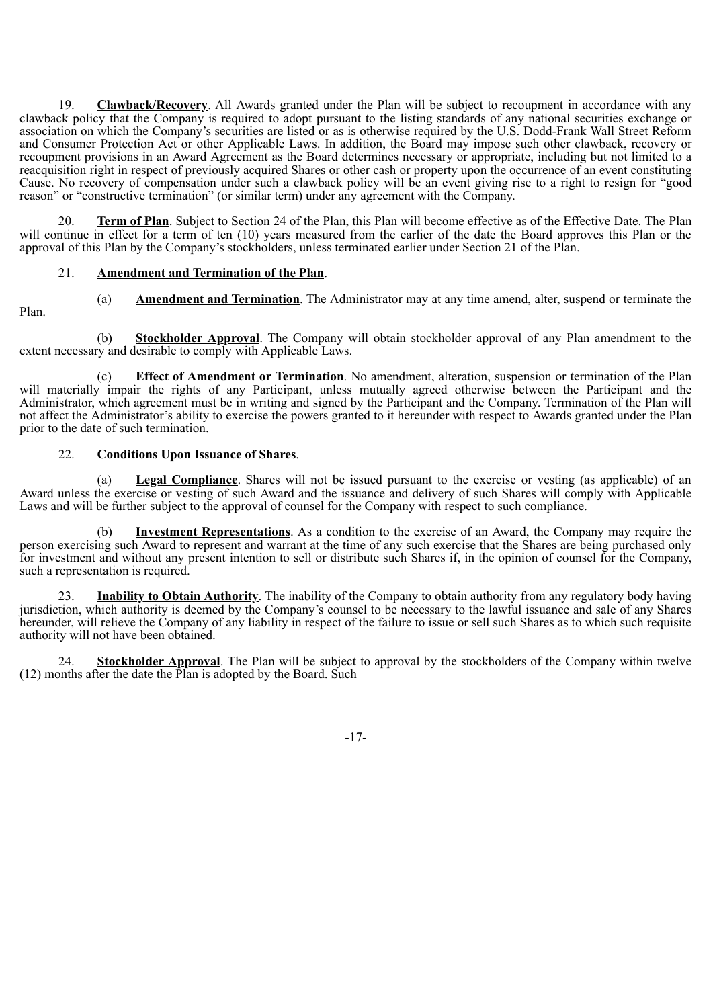**Clawback/Recovery.** All Awards granted under the Plan will be subject to recoupment in accordance with any clawback policy that the Company is required to adopt pursuant to the listing standards of any national securities exchange or association on which the Company's securities are listed or as is otherwise required by the U.S. Dodd-Frank Wall Street Reform and Consumer Protection Act or other Applicable Laws. In addition, the Board may impose such other clawback, recovery or recoupment provisions in an Award Agreement as the Board determines necessary or appropriate, including but not limited to a reacquisition right in respect of previously acquired Shares or other cash or property upon the occurrence of an event constituting Cause. No recovery of compensation under such a clawback policy will be an event giving rise to a right to resign for "good reason" or "constructive termination" (or similar term) under any agreement with the Company.

20. **Term of Plan**. Subject to Section 24 of the Plan, this Plan will become effective as of the Effective Date. The Plan will continue in effect for a term of ten (10) years measured from the earlier of the date the Board approves this Plan or the approval of this Plan by the Company's stockholders, unless terminated earlier under Section 21 of the Plan.

# 21. **Amendment and Termination of the Plan**.

- Plan.
- (a) **Amendment and Termination**. The Administrator may at any time amend, alter, suspend or terminate the
- 

(b) **Stockholder Approval**. The Company will obtain stockholder approval of any Plan amendment to the extent necessary and desirable to comply with Applicable Laws.

(c) **Effect of Amendment or Termination**. No amendment, alteration, suspension or termination of the Plan will materially impair the rights of any Participant, unless mutually agreed otherwise between the Participant and the Administrator, which agreement must be in writing and signed by the Participant and the Company. Termination of the Plan will not affect the Administrator's ability to exercise the powers granted to it hereunder with respect to Awards granted under the Plan prior to the date of such termination.

# 22. **Conditions Upon Issuance of Shares**.

(a) **Legal Compliance**. Shares will not be issued pursuant to the exercise or vesting (as applicable) of an Award unless the exercise or vesting of such Award and the issuance and delivery of such Shares will comply with Applicable Laws and will be further subject to the approval of counsel for the Company with respect to such compliance.

(b) **Investment Representations**. As a condition to the exercise of an Award, the Company may require the person exercising such Award to represent and warrant at the time of any such exercise that the Shares are being purchased only for investment and without any present intention to sell or distribute such Shares if, in the opinion of counsel for the Company, such a representation is required.

23. **Inability to Obtain Authority**. The inability of the Company to obtain authority from any regulatory body having jurisdiction, which authority is deemed by the Company's counsel to be necessary to the lawful issuance and sale of any Shares hereunder, will relieve the Company of any liability in respect of the failure to issue or sell such Shares as to which such requisite authority will not have been obtained.

24. **Stockholder Approval**. The Plan will be subject to approval by the stockholders of the Company within twelve (12) months after the date the Plan is adopted by the Board. Such

-17-